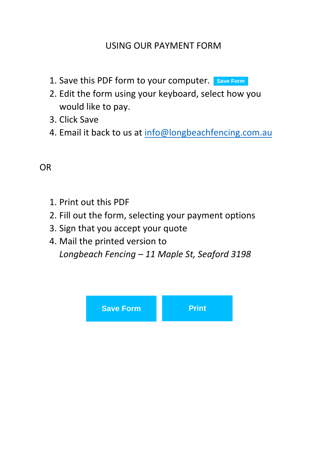# USING OUR PAYMENT FORM

- 1. Save this PDF form to your computer. **Save Form**
- 2. Edit the form using your keyboard, select how you would like to pay.
- 3. Click Save
- 4. Email it back to us at [info@longbeachfencing.com.au](mailto:info@longbeachfencing.com.au)

# OR

- 1. Print out this PDF
- 2. Fill out the form, selecting your payment options
- 3. Sign that you accept your quote
- 4. Mail the printed version to *Longbeach Fencing – 11 Maple St, Seaford 3198*

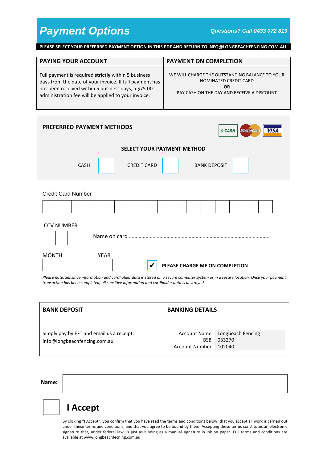**PLEASE SELECT YOUR PREFERRED PAYMENT OPTION IN THIS PDF AND RETURN TO INFO@LONGBEACHFENCING.COM.AU**

| <b>PAYING YOUR ACCOUNT</b>                              | <b>PAYMENT ON COMPLETION</b>                   |
|---------------------------------------------------------|------------------------------------------------|
| Full payment is required strictly within 5 business     | WE WILL CHARGE THE OUTSTANDING BALANCE TO YOUR |
| days from the date of your invoice. If full payment has | NOMINATED CREDIT CARD                          |
| not been received within 5 business days, a \$75.00     | OR                                             |
| administration fee will be applied to your invoice.     | PAY CASH ON THE DAY AND RECEIVE A DISCOUNT     |

| PREFERRED PAYMENT METHODS                                     | <b>VISA</b><br><b>MasterCard</b><br>\$ CASH |  |  |
|---------------------------------------------------------------|---------------------------------------------|--|--|
| <b>SELECT YOUR PAYMENT METHOD</b>                             |                                             |  |  |
| <b>CREDIT CARD</b><br><b>CASH</b>                             | <b>BANK DEPOSIT</b>                         |  |  |
| <b>Credit Card Number</b>                                     |                                             |  |  |
|                                                               |                                             |  |  |
| <b>CCV NUMBER</b><br>Name on card                             |                                             |  |  |
| <b>MONTH</b><br><b>YEAR</b><br>PLEASE CHARGE ME ON COMPLETION |                                             |  |  |

*Please note: Sensitive information and cardholder data is stored on a secure computer system or in a secure location. Once your payment transaction has been completed, all sensitive information and cardholder data is destroyed.*

| <b>BANK DEPOSIT</b>                       | <b>BANKING DETAILS</b> |                                |  |
|-------------------------------------------|------------------------|--------------------------------|--|
| Simply pay by EFT and email us a receipt. | <b>BSB</b>             | Account Name Longbeach Fencing |  |
| info@longbeachfencing.com.au              | Account Number 102040  | 033270                         |  |

**Name:**

# **I Accept**

By clicking "I Accept", you confirm that you have read the terms and conditions below, that you accept all work is carried out under these terms and conditions, and that you agree to be bound by them. Accepting these terms constitutes an electronic signature that, under federal law, is just as binding as a manual signature in ink on paper. Full terms and conditions are available at www.longbeachfecning.com.au